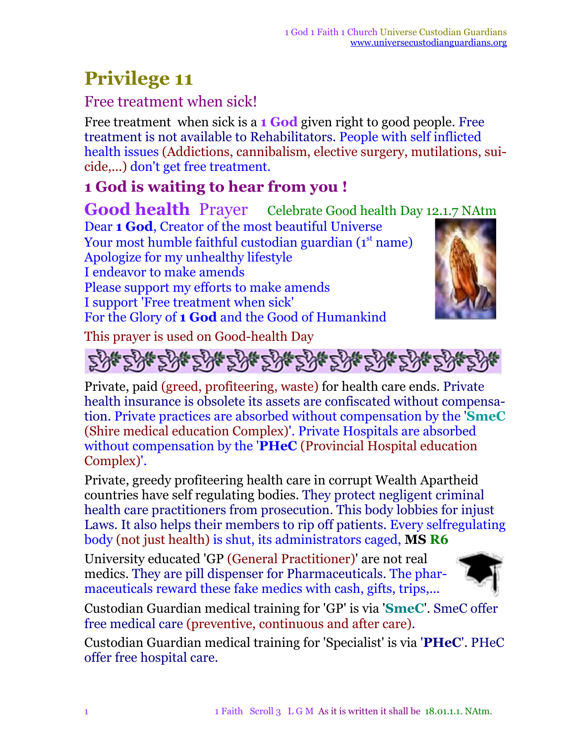## **Privilege 11**

## Free treatment when sick!

Free treatment when sick is a **1 God** given right to good people. Free treatment is not available to Rehabilitators. People with self inflicted health issues (Addictions, cannibalism, elective surgery, mutilations, suicide,...) don't get free treatment.

## **1 God is waiting to hear from you !**

**Good health** Prayer Celebrate Good health Day 12.1.7 NAtm Dear **1 God**, Creator of the most beautiful Universe Your most humble faithful custodian guardian (1st name) Apologize for my unhealthy lifestyle I endeavor to make amends Please support my efforts to make amends I support 'Free treatment when sick' For the Glory of **1 God** and the Good of Humankind

This prayer is used on Good-health Day





Private, paid (greed, profiteering, waste) for health care ends. Private health insurance is obsolete its assets are confiscated without compensation. Private practices are absorbed without compensation by the '**SmeC** (Shire medical education Complex)'. Private Hospitals are absorbed without compensation by the '**PHeC** (Provincial Hospital education Complex)'.

Private, greedy profiteering health care in corrupt Wealth Apartheid countries have self regulating bodies. They protect negligent criminal health care practitioners from prosecution. This body lobbies for injust Laws. It also helps their members to rip off patients. Every selfregulating body (not just health) is shut, its administrators caged, **MS R6**

University educated 'GP (General Practitioner)' are not real medics. They are pill dispenser for Pharmaceuticals. The pharmaceuticals reward these fake medics with cash, gifts, trips,...



Custodian Guardian medical training for 'GP' is via '**SmeC**'. SmeC offer free medical care (preventive, continuous and after care).

Custodian Guardian medical training for 'Specialist' is via '**PHeC**'. PHeC offer free hospital care.